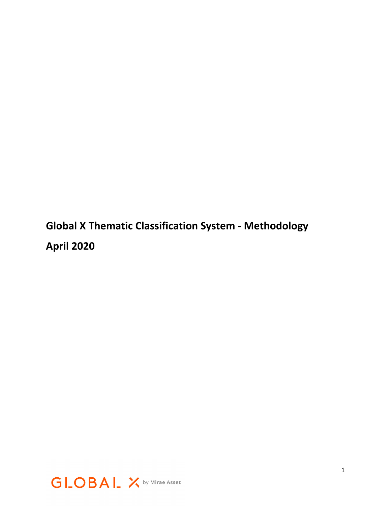**Global X Thematic Classification System - Methodology April 2020**

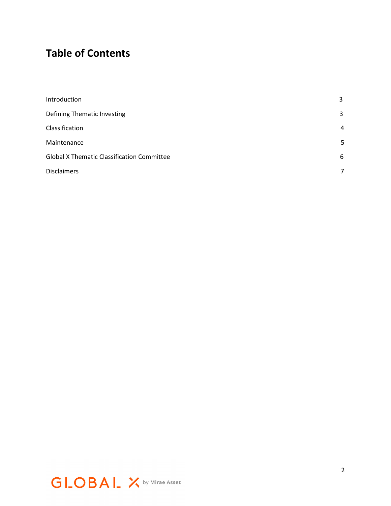# **Table of Contents**

| Introduction                                      | 3 |
|---------------------------------------------------|---|
| Defining Thematic Investing                       | 3 |
| Classification                                    | 4 |
| Maintenance                                       | 5 |
| <b>Global X Thematic Classification Committee</b> |   |
| <b>Disclaimers</b>                                | 7 |

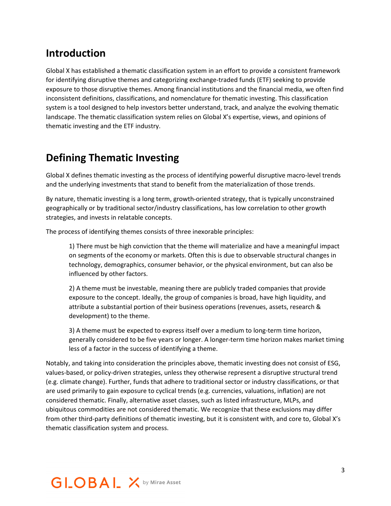## **Introduction**

Global X has established a thematic classification system in an effort to provide a consistent framework for identifying disruptive themes and categorizing exchange-traded funds (ETF) seeking to provide exposure to those disruptive themes. Among financial institutions and the financial media, we often find inconsistent definitions, classifications, and nomenclature for thematic investing. This classification system is a tool designed to help investors better understand, track, and analyze the evolving thematic landscape. The thematic classification system relies on Global X's expertise, views, and opinions of thematic investing and the ETF industry.

## **Defining Thematic Investing**

Global X defines thematic investing as the process of identifying powerful disruptive macro-level trends and the underlying investments that stand to benefit from the materialization of those trends.

By nature, thematic investing is a long term, growth-oriented strategy, that is typically unconstrained geographically or by traditional sector/industry classifications, has low correlation to other growth strategies, and invests in relatable concepts.

The process of identifying themes consists of three inexorable principles:

1) There must be high conviction that the theme will materialize and have a meaningful impact on segments of the economy or markets. Often this is due to observable structural changes in technology, demographics, consumer behavior, or the physical environment, but can also be influenced by other factors.

2) A theme must be investable, meaning there are publicly traded companies that provide exposure to the concept. Ideally, the group of companies is broad, have high liquidity, and attribute a substantial portion of their business operations (revenues, assets, research & development) to the theme.

3) A theme must be expected to express itself over a medium to long-term time horizon, generally considered to be five years or longer. A longer-term time horizon makes market timing less of a factor in the success of identifying a theme.

Notably, and taking into consideration the principles above, thematic investing does not consist of ESG, values-based, or policy-driven strategies, unless they otherwise represent a disruptive structural trend (e.g. climate change). Further, funds that adhere to traditional sector or industry classifications, or that are used primarily to gain exposure to cyclical trends (e.g. currencies, valuations, inflation) are not considered thematic. Finally, alternative asset classes, such as listed infrastructure, MLPs, and ubiquitous commodities are not considered thematic. We recognize that these exclusions may differ from other third-party definitions of thematic investing, but it is consistent with, and core to, Global X's thematic classification system and process.

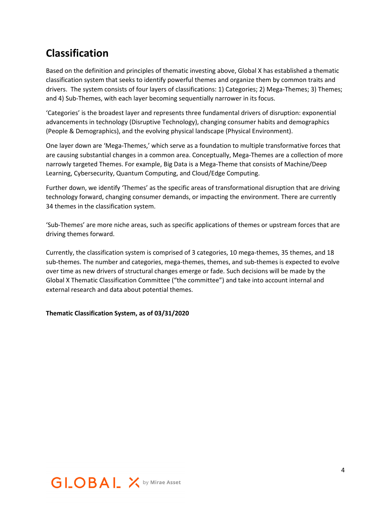# **Classification**

Based on the definition and principles of thematic investing above, Global X has established a thematic classification system that seeks to identify powerful themes and organize them by common traits and drivers. The system consists of four layers of classifications: 1) Categories; 2) Mega-Themes; 3) Themes; and 4) Sub-Themes, with each layer becoming sequentially narrower in its focus.

'Categories' is the broadest layer and represents three fundamental drivers of disruption: exponential advancements in technology (Disruptive Technology), changing consumer habits and demographics (People & Demographics), and the evolving physical landscape (Physical Environment).

One layer down are 'Mega-Themes,' which serve as a foundation to multiple transformative forces that are causing substantial changes in a common area. Conceptually, Mega-Themes are a collection of more narrowly targeted Themes. For example, Big Data is a Mega-Theme that consists of Machine/Deep Learning, Cybersecurity, Quantum Computing, and Cloud/Edge Computing.

Further down, we identify 'Themes' as the specific areas of transformational disruption that are driving technology forward, changing consumer demands, or impacting the environment. There are currently 34 themes in the classification system.

'Sub-Themes' are more niche areas, such as specific applications of themes or upstream forces that are driving themes forward.

Currently, the classification system is comprised of 3 categories, 10 mega-themes, 35 themes, and 18 sub-themes. The number and categories, mega-themes, themes, and sub-themes is expected to evolve over time as new drivers of structural changes emerge or fade. Such decisions will be made by the Global X Thematic Classification Committee ("the committee") and take into account internal and external research and data about potential themes.

#### **Thematic Classification System, as of 03/31/2020**

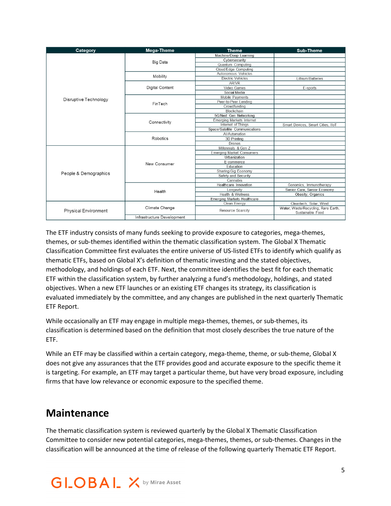| Category              | Mega-Theme                 | Theme                              | <b>Sub-Theme</b>                                        |
|-----------------------|----------------------------|------------------------------------|---------------------------------------------------------|
| Disruptive Technology | <b>Big Data</b>            | Machine/Deep Learning              |                                                         |
|                       |                            | Cybersecurity                      |                                                         |
|                       |                            | Quantum Computing                  |                                                         |
|                       |                            | Cloud/Edge Computing               |                                                         |
|                       | Mobility                   | Autonomous Vehicles                |                                                         |
|                       |                            | <b>Electric Vehicles</b>           | Lithium/Batteries                                       |
|                       | Digital Content            | AR/VR                              |                                                         |
|                       |                            | Video Games                        | E-sports                                                |
|                       |                            | Social Media                       |                                                         |
|                       | FinTech                    | Mobile Payments                    |                                                         |
|                       |                            | Peer-to-Peer Lending               |                                                         |
|                       |                            | Crowdfunding                       |                                                         |
|                       |                            | Blockchain                         |                                                         |
|                       | Connectivity               | 5G/Next Gen Networking             |                                                         |
|                       |                            | <b>Emerging Markets Internet</b>   |                                                         |
|                       |                            | Internet of Things                 | Smart Devices, Smart Cities, IIoT                       |
|                       |                            | Space/Satellite Communications     |                                                         |
|                       | Robotics                   | Al/Automation                      |                                                         |
|                       |                            | 3D Printing                        |                                                         |
|                       |                            | <b>Drones</b>                      |                                                         |
| People & Demographics | New Consumer               | Millennials & Gen Z                |                                                         |
|                       |                            | <b>Emerging Market Consumers</b>   |                                                         |
|                       |                            | Urbanization                       |                                                         |
|                       |                            | E-commerce                         |                                                         |
|                       |                            | Education                          |                                                         |
|                       |                            | Sharing/Gig Economy                |                                                         |
|                       |                            | Safety and Security                |                                                         |
|                       |                            | Cannabis                           |                                                         |
|                       | Health                     | <b>Healthcare</b> Innovation       | Genomics, Immunotherapy                                 |
|                       |                            | Longevity                          | Senior Care, Senior Economy                             |
|                       |                            | Health & Wellness                  | Obesity, Organics                                       |
|                       |                            | <b>Emerging Markets Healthcare</b> |                                                         |
| Physical Environment  | Climate Change             | Clean Energy                       | Cleantech, Solar, Wind                                  |
|                       |                            | Resource Scarcity                  | Water, Waste/Recycling, Rare Earth,<br>Sustainable Food |
|                       | Infrastructure Development |                                    |                                                         |
|                       |                            |                                    |                                                         |

The ETF industry consists of many funds seeking to provide exposure to categories, mega-themes, themes, or sub-themes identified within the thematic classification system. The Global X Thematic Classification Committee first evaluates the entire universe of US-listed ETFs to identify which qualify as thematic ETFs, based on Global X's definition of thematic investing and the stated objectives, methodology, and holdings of each ETF. Next, the committee identifies the best fit for each thematic ETF within the classification system, by further analyzing a fund's methodology, holdings, and stated objectives. When a new ETF launches or an existing ETF changes its strategy, its classification is evaluated immediately by the committee, and any changes are published in the next quarterly Thematic ETF Report.

While occasionally an ETF may engage in multiple mega-themes, themes, or sub-themes, its classification is determined based on the definition that most closely describes the true nature of the ETF.

While an ETF may be classified within a certain category, mega-theme, theme, or sub-theme, Global X does not give any assurances that the ETF provides good and accurate exposure to the specific theme it is targeting. For example, an ETF may target a particular theme, but have very broad exposure, including firms that have low relevance or economic exposure to the specified theme.

### **Maintenance**

The thematic classification system is reviewed quarterly by the Global X Thematic Classification Committee to consider new potential categories, mega-themes, themes, or sub-themes. Changes in the classification will be announced at the time of release of the following quarterly Thematic ETF Report.

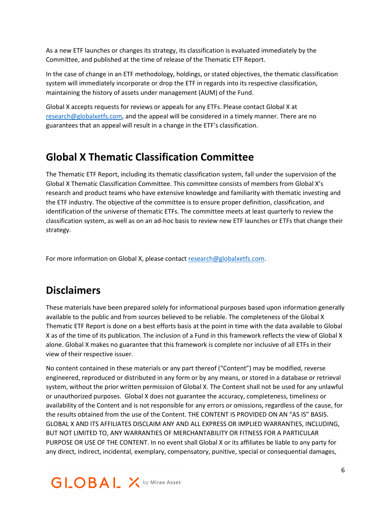As a new ETF launches or changes its strategy, its classification is evaluated immediately by the Committee, and published at the time of release of the Thematic ETF Report.

In the case of change in an ETF methodology, holdings, or stated objectives, the thematic classification system will immediately incorporate or drop the ETF in regards into its respective classification, maintaining the history of assets under management (AUM) of the Fund.

Global X accepts requests for reviews or appeals for any ETFs. Please contact Global X at [research@globalxetfs.com,](mailto:research@globalxetfs.com) and the appeal will be considered in a timely manner. There are no guarantees that an appeal will result in a change in the ETF's classification.

# **Global X Thematic Classification Committee**

The Thematic ETF Report, including its thematic classification system, fall under the supervision of the Global X Thematic Classification Committee. This committee consists of members from Global X's research and product teams who have extensive knowledge and familiarity with thematic investing and the ETF industry. The objective of the committee is to ensure proper definition, classification, and identification of the universe of thematic ETFs. The committee meets at least quarterly to review the classification system, as well as on an ad-hoc basis to review new ETF launches or ETFs that change their strategy.

For more information on Global X, please contact [research@globalxetfs.com.](mailto:research@globalxetfs.com)

## **Disclaimers**

These materials have been prepared solely for informational purposes based upon information generally available to the public and from sources believed to be reliable. The completeness of the Global X Thematic ETF Report is done on a best efforts basis at the point in time with the data available to Global X as of the time of its publication. The inclusion of a Fund in this framework reflects the view of Global X alone. Global X makes no guarantee that this framework is complete nor inclusive of all ETFs in their view of their respective issuer.

No content contained in these materials or any part thereof ("Content") may be modified, reverse engineered, reproduced or distributed in any form or by any means, or stored in a database or retrieval system, without the prior written permission of Global X. The Content shall not be used for any unlawful or unauthorized purposes. Global X does not guarantee the accuracy, completeness, timeliness or availability of the Content and is not responsible for any errors or omissions, regardless of the cause, for the results obtained from the use of the Content. THE CONTENT IS PROVIDED ON AN "AS IS" BASIS. GLOBAL X AND ITS AFFILIATES DISCLAIM ANY AND ALL EXPRESS OR IMPLIED WARRANTIES, INCLUDING, BUT NOT LIMITED TO, ANY WARRANTIES OF MERCHANTABILITY OR FITNESS FOR A PARTICULAR PURPOSE OR USE OF THE CONTENT. In no event shall Global X or its affiliates be liable to any party for any direct, indirect, incidental, exemplary, compensatory, punitive, special or consequential damages,